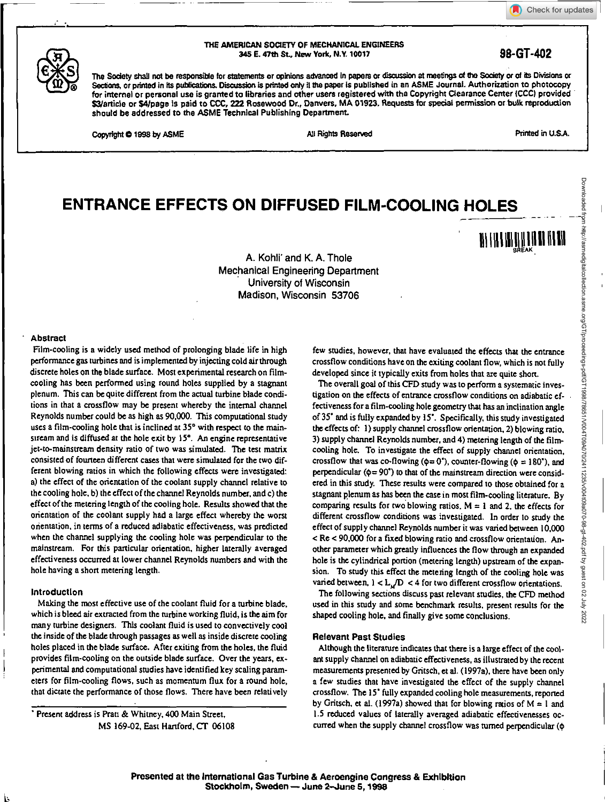Check for updates



#### THE AMERICAN SOCIETY OF MECHANICAL ENGINEERS 345 E. 47th St., New York, N.Y. 10017 **98-GT-402**

The Sodety shall not be responsthle for statements or opinions advanced in papers or cliscussion at meetings of the Society or of its Divisions or Sections, or printed in Its publications. Discussion is printed only if the paper Is published in an ASME Journal. Authorization to photocopy for internal or personal use is granted **to** libraries and other users registered with the Copyright Clearance Center (CCC) provided S3/article or \$4/page is paid to CCC, 222 Rosewood Dr., Danvers, MA 91923. Requests for special permission or bulk reprodumion should be addressed to the ASME Technical Publishing Department

Copyright © 1998 by ASME All Rights Reserved All Rights Reserved **All Rights Reserved All Rights Reserved Primed in U.S.A.** 

<sup>1</sup> <sup>11</sup> 1161 <sup>11</sup>

**ENTRANCE EFFECTS ON DIFFUSED FILM-COOLING HOLES** 

A. Kohli" and K. A. Thole Mechanical Engineering Department University of Wisconsin Madison, Wisconsin 53706

#### **Abstract**

Film-cooling is a widely used method of prolonging blade life in high performance gas turbines and is implemented by injecting cold air through discrete holes on the blade surface. Most experimental research on filmcooling has been performed using round holes supplied by a stagnant plenum. This can be quite different from the actual turbine blade conditions in that a crossflow may be present whereby the internal channel Reynolds number could be as high as 90,000. This computational study uses a film-cooling hole that is inclined at 35° with respect to the mainstream and is diffused at the hole exit by 15°. An engine representative jet-to-mainstream density ratio of two was simulated. The test matrix consisted of fourteen different *cases* that were simulated for the two different blowing ratios in which the following effects were investigated: a) the effect of the orientation of the coolant supply channel relative to the cooling hole, b) the effect of the channel Reynolds number, and c) the effect of the metering length of the cooling hole. Results showed that the orientation of the coolant supply had a large effect whereby the worst orientation, in terms of a reduced adiabatic effectiveness, was predicted when the channel supplying the cooling hole was perpendicular to the mainstream. For this particular orientation, higher laterally averaged effectiveness occurred at lower channel Reynolds numbers and with the hole having a short metering length.

#### **Introduction**

Making the most effective use of the coolant fluid for a turbine blade, which is bleed air extracted from the turbine working fluid, is the aim for many turbine designers. This coolant fluid is used to convectively cool the inside of the blade through passages as well as inside discrete cooling holes placed in the blade surface. After exiting from the holes, the fluid provides film-cooling on the outside blade surface. Over the years, experimental and computational studies have identified key scaling parameters for film-cooling flows, such as momentum flux for a round hole, that dictate the performance of those flows. There have been relatively

• • Present address is Pratt & Whitney, 400 Main Street, MS 169-02, East Hartford, CT 06108 few studies, however, that have evaluated the effects that the entrance crossflow conditions have on the exiting coolant flow, which is not fully developed since it typically exits from holes that are quite short.

The overall goal of this CFD study was to perform a systematic investigation on the effects of entrance crossflow conditions on adiabatic ef- • fectiveness for a film-cooling hole geometry that has an inclination angle of 35 and is fully expanded by 15. Specifically, this study investigated the effects of: 1) supply channel crossflow orientation, 2) blowing ratio. 3) supply channel Reynolds number, and 4) metering length of the filmcooling hole. To investigate the effect of supply channel orientation, crossflow that was co-flowing ( $\phi = 0'$ ), counter-flowing ( $\phi = 180'$ ), and perpendicular ( $\phi = 90$ °) to that of the mainstream direction were considered in this study. These results were compared to those obtained for a stagnant plenum as has been the case in most film-cooling literature. By comparing results for two blowing ratios.  $M = 1$  and 2, the effects for different crossflow conditions was investigated. In order to study the effect of supply channel Reynolds number it was varied between 10,000 < Re <90,000 for a fixed blowing ratio and crossflow orientation. Another parameter which greatly influences the flow through an expanded hole is the cylindrical portion (metering length) upstream of the expansion. To study this effect the metering length of the cooling hole was varied between,  $1 < L \sqrt{D} < 4$  for two different crossflow orientations.

The following sections discuss past relevant studies, the CFD method used in this study and some benchmark results, present results for the shaped cooling hole, and finally give some conclusions.

# **Relevant Past Studies**

Although the literature indicates that there is a large effect of the coolant supply channel on adiabatic effectiveness, as illustrated by the recent measurements presented by Gritsch, et al. (1997a), there have been only a few studies that have investigated the effect of the supply channel crossflow. The 15' fully expanded cooling hole measurements, reported by Gritsch, et al. (1997a) showed that for blowing ratios of  $M = 1$  and 1.5 reduced values of laterally averaged adiabatic effectivenesses occurred when the supply channel crossflow was turned perpendicular ( $\phi$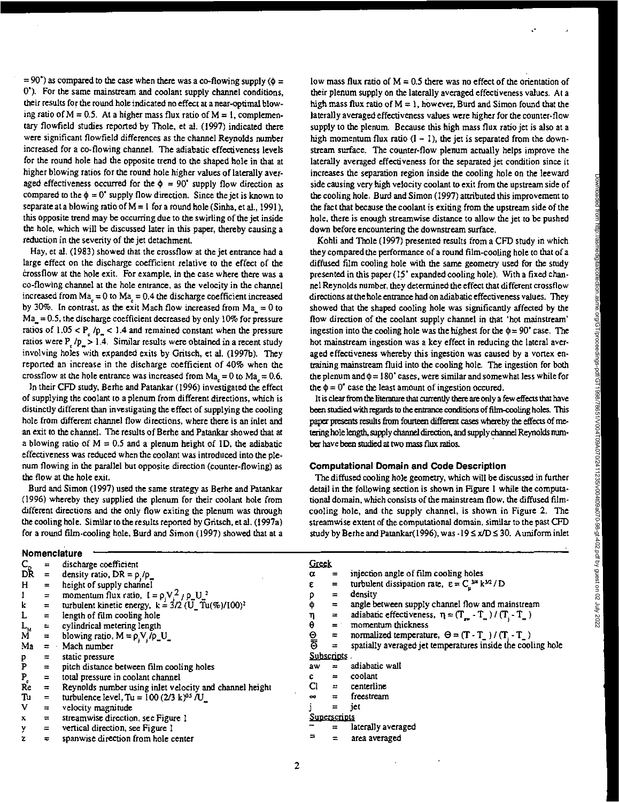$= 90^{\circ}$ ) as compared to the case when there was a co-flowing supply ( $\phi =$ 0'). For the same mainstream and coolant supply channel conditions, their results for the round hole indicated no effect at a near-optimal blowing ratio of  $M = 0.5$ . At a higher mass flux ratio of  $M = 1$ , complementary flowfield studies reported by Thole, et al. (1997) indicated there were significant flowfield differences as the channel Reynolds number increased for a co-flowing channel. The adiabatic effectiveness levels for the round hole had the opposite trend to the shaped hole in that at higher blowing ratios for the round hole higher values of laterally averaged effectiveness occurred for the  $\phi = 90^{\circ}$  supply flow direction as compared to the  $\phi = 0$ ' supply flow direction. Since the jet is known to separate at a blowing ratio of  $M = 1$  for a round hole (Sinha, et al., 1991), this opposite trend may be occurring due to the swirling of the jet inside the hole, which will be discussed later in this paper, thereby causing a reduction in the severity of the jet detachment.

Hay, et al. (1983) showed that the crossflow at the jet entrance had a large effect on the discharge coefficient relative to the effect of the erossflow at the hole exit. For example, in the case where there was a co-flowing channel at the hole entrance, as the velocity in the channel increased from  $Ma = 0$  to  $Ma = 0.4$  the discharge coefficient increased by 30%. In contrast, as the exit Mach flow increased from  $Ma = 0$  to  $Ma<sub>u</sub> = 0.5$ , the discharge coefficient decreased by only 10% for pressure ratios of  $1.05 < P$ , /p<sub>n</sub> < 1.4 and remained constant when the pressure ratios were P<sub>,</sub>/p<sub>\_</sub>> 1.4. Similar results were obtained in a recent study involving holes with expanded exits by Gritsch, et al. (1997b). They reported an increase in the discharge coefficient of 40% when the crossflow at the hole entrance was increased from  $Ma = 0$  to  $Ma = 0.6$ .

In their CFD study, Berhe and Patankar (1996) investigated the effect of supplying the coolant to a plenum from different directions, which is distinctly different than investigating the effect of supplying the cooling hole from different channel flow directions, where there is an inlet and an exit to the channel. The results of Berhe and Patankar showed that at a blowing ratio of  $M = 0.5$  and a plenum height of 1D, the adiabatic effectiveness was reduced when the coolant was introduced into the plenum flowing in the parallel but opposite direction (counter-flowing) as the flow at the hole exit.

Burd and Simon (1997) used the same strategy as Berhe and Patankar (1996) whereby they supplied the plenum for their coolant hole from different directions and the only flow exiting the plenum was through the cooling hole. Similar to the results reported by Gritsch, et al. (1997a) for a round film-cooling hole, Burd and Simon (1997) showed that at a

# low mass flux ratio of  $M = 0.5$  there was no effect of the orientation of their plenum supply on the laterally avenged effectiveness values. At a high mass flux ratio of  $M = 1$ , however, Burd and Simon found that the laterally averaged effectiveness values were higher for the counter-flow supply to the plenum. Because this high mass flux ratio jet is also at a high momentum flux ratio  $(I - 1)$ , the jet is separated from the downstream surface. The counter-flow plenum actually helps improve the laterally averaged effectiveness for the separated jet condition since it increases the separation region inside the cooling hole on the leeward side causing very high velocity coolant to exit from the upstream side of the cooling hole. Burd and Simon (1997) attributed this improvement to the fact that because the coolant is exiting from the upstream side of the hole, there is enough streamwise distance to allow the jet to be pushed down before encountering the downstream surface.

Kohli and Thole (1997) presented results from a CFD study in which they compared the performance of a round film-cooling hole to that of a diffused film cooling hole with the same geometry used for the study presented in this paper (15' expanded cooling hole). With a fixed channel Reynolds number, they determined the effect that different crossflow directions at the hole entrance had on adiabatic effectiveness values. They showed that the shaped cooling hole was significantly affected by the flow direction of the coolant supply channel in that 'hot mainstream' ingestion into the cooling hole was the highest for the  $\phi = 90^{\circ}$  case. The hot mainstream ingestion was a key effect in reducing the lateral averaged effectiveness whereby this ingestion was caused by a vortex entraining mainstream fluid into the cooling hole. The ingestion for both the plenum and  $\phi = 180^{\circ}$  cases, were similar and somewhat less while for the  $\phi = 0^{\circ}$  case the least amount of ingestion occured.

It is clear from the literature that currently there are only a few effects that have been studied with regards to the entrance conditions of film-cooling holes. This paper presents results from fourteen different cases whereby the effects of metering hole length, supply channel direction, and supply channel Reynolds number have been studied at two mass flux ratios.

# **Computational Domain and Code Description**

The diffused cooling hole geometry, which will be discussed in further detail in the following section is shown in Figure 1 while the computational domain, which consists of the mainstream flow, the diffused filmcooling hole, and the supply channel, is shown in Figure 2. The sueamwise extent of the computational domain, similar to the past CFD study by Berhe and Patankar(1996), was -19 5 x/D 5 30. A uniform inlet

#### **Nomenclature**

|          | discharge coefficient                                                                                                             |
|----------|-----------------------------------------------------------------------------------------------------------------------------------|
|          | density ratio, $DR = \rho_1/\rho_2$                                                                                               |
| $=$      | height of supply channel                                                                                                          |
| $\equiv$ |                                                                                                                                   |
| ÷        | momentum flux ratio, $I = \rho V_1^2 / \rho U_2^2$<br>turbulent kinetic energy, $k = 3/2$ (U <sub>u</sub> Tu(%)/100) <sup>2</sup> |
| $=$      | length of film cooling hole                                                                                                       |
| $\equiv$ | cylindrical metering length                                                                                                       |
| $=$      | blowing ratio, $M = \rho_i V_j / \rho_u U_u$                                                                                      |
| Ma       | $=$ Mach number                                                                                                                   |
| $\equiv$ | static pressure                                                                                                                   |
| $=$      | pitch distance between film cooling holes                                                                                         |
| $=$      | total pressure in coolant channel                                                                                                 |
| $=$      | Reynolds number using inlet velocity and channel height                                                                           |
|          | turbulence level, Tu = 100 (2/3 k) <sup>05</sup> $\overline{U}$ .                                                                 |
| $=$      | velocity magnitude                                                                                                                |
| $=$      | streamwise direction, see Figure 1                                                                                                |
| $=$      | vertical direction, see Figure 1                                                                                                  |
| $\equiv$ | spanwise direction from hole center                                                                                               |
|          | $C_p =$<br>DR =<br>$\equiv$                                                                                                       |

# Greek

| α                                  | ≕                 | injection angle of film cooling holes                              |
|------------------------------------|-------------------|--------------------------------------------------------------------|
| ε                                  | $\equiv$          | turbulent dissipation rate, $\varepsilon = C_0^{3/4} k^{3/2} / D$  |
|                                    | $=$               | density                                                            |
| р<br>Ф                             | $=$               | angle between supply channel flow and mainstream                   |
| η                                  | $\mathbf{r}$      | adiabatic effectiveness, $\eta = (T_{av} - T_{u})/(T_{i} - T_{u})$ |
| θ                                  |                   | $=$ momentum thickness                                             |
|                                    | $=$               | normalized temperature, $\Theta = (T - T_{-})/(T_{-} - T_{-})$     |
| $\frac{\Theta}{\overline{\Theta}}$ | $=$               | spatially averaged jet temperatures inside the cooling hole        |
| <b>Subscripts</b>                  |                   |                                                                    |
| aw.                                | . .               | adiabatic wall                                                     |
| $\mathbf{c}$                       |                   | $=$ coolant                                                        |
|                                    |                   | $Cl =$ centerline                                                  |
| œ                                  | $\equiv$ $\equiv$ | freestream                                                         |
| j                                  | $\equiv$          | iet                                                                |
| Superscripts                       |                   |                                                                    |
|                                    | $=$               | laterally averaged                                                 |
|                                    | ⋍                 | area averaged                                                      |

2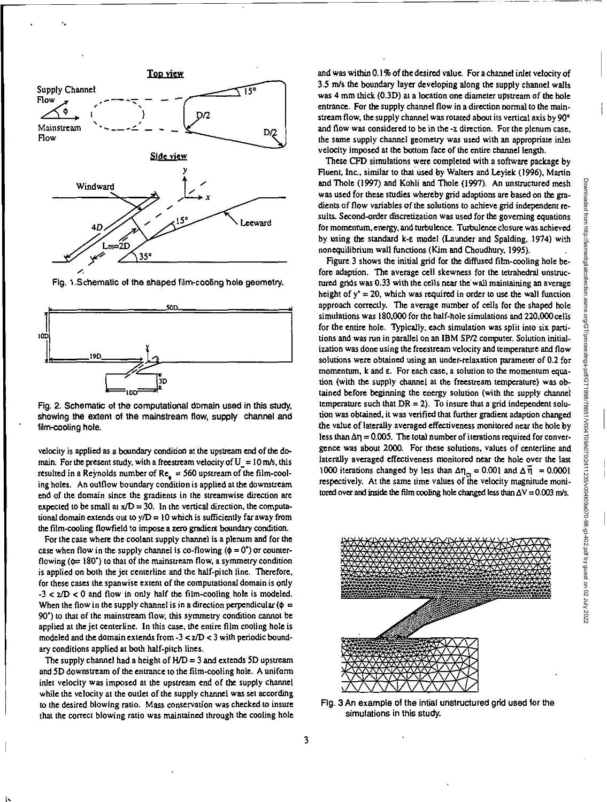

Fig. I Schematic of the shaped film-cooling hole geometry.



Fig. 2. Schematic of the computational domain used in this study, showing the extent of the mainstream flow, supply channel and film-cooling hole.

velocity is applied as a boundary condition at the upstream end of the domain. For the present study, with a free stream velocity of  $U = 10$  m/s, this resulted in a Reynolds number of  $Re_a = 560$  upstream of the film-cooling holes. An outflow boundary condition is applied at the downstream end of the domain since the gradients in the streamwise direction are expected to be small at  $x/D = 30$ . In the vertical direction, the computational domain extends out to  $y/D = 10$  which is sufficiently far away from the film-cooling flowfield to impose a zero gradient boundary condition.

For the case where the coolant supply channel is a plenum and for the case when flow in the supply channel is co-flowing  $(\phi = 0^{\circ})$  or counterflowing ( $\phi$ = 180°) to that of the mainstream flow, a symmetry condition is applied on both the jet centerline and the half-pitch line. Therefore, for these cases the spanwise extent of the computational domain is only  $-3 < 2/D < 0$  and flow in only half the film-cooling hole is modeled. When the flow in the supply channel is in a direction perpendicular ( $\phi =$ 90') to that of the mainstream flow, this symmetry condition cannot be applied at the jet centerline. In this case, the entire film cooling hole is modeled and the domain extends from -3 < z/D < 3 with periodic boundary conditions applied at both half-pitch lines.

The supply channel had a height of  $H/D = 3$  and extends 5D upstream and 5D downstream of the entrance to the film-cooling hole. A uniform inlet velocity was imposed at the upstream end of the supply channel while the velocity at the outlet of the supply channel *was* set according to the desired blowing ratio. Mass conservation was checked to insure that the correct blowing ratio was maintained through the cooling hole and was within 0.1% of the desired value. For a channel inlet velocity of 3.5 m/s the boundary layer developing along the supply channel walls was 4 mm thick (03D) at a location one diameter upstream of the hole entrance. For the supply channel flow in a direction normal to the mainstream flow, the supply channel was rotated about its vertical axis by  $90^{\circ}$ and flow was considered to be in the -z direction. For the plenum case, the same supply channel geometry was used with an appropriate inlet velocity imposed at the bottom face of the entire channel length.

These CFD simulations were completed with a software package by Fluent, Inc., similar to that used by Walters and Leylek (1996), Martin and Thole (1997) and Kohli and Thole (1997). An unstructured mesh was used for these studies whereby grid adaptions are based on the gradients of flow variables of the solutions to achieve grid independent results. Second-order discretization was used for the governing equations for momentum, energy, and turbulence. Turbulence closure was achieved by using the standard k-E model (Launder and Spalding, 1974) with nonequilibrium wall functions (Kim and Choudhury, 1995).

Figure 3 shows the initial grid for the diffused film-cooling hole before adaption. The average cell skewness for the tetrahedral unstructured grids was 0.33 with the cells near the wall maintaining an average height of  $y^* = 20$ , which was required in order to use the wall function approach correctly. The average number of cells for the shaped hole simulations was 180,000 for the half-hole simulations and 220,000 cells for the entire hole. Typically, each simulation was split into six partitions and was run in parallel on an IBM SP/2 computer. Solution initialization was done using the freestream velocity and temperature and flow solutions were obtained using an under-relaxation parameter of 0.2 for momentum, k and E. For each case, a solution to the momentum equation (with the supply channel at the freestream temperature) was obtained before beginning the energy solution (with the supply channel temperature such that  $DR = 2$ ). To insure that a grid independent solution was obtained, it was verified that further gradient adaption changed the value of laterally averaged effectiveness monitored near the hole by less than  $\Delta \eta = 0.005$ . The total number of iterations required for convergence was about 2000. For these solutions, values of centerline and laterally averaged effectiveness monitored near the hole over the last 1000 iterations changed by less than  $\Delta \eta_{\text{c}} = 0.001$  and  $\Delta \bar{\eta} = 0.0001$ respectively. At the same time values of the velocity magnitude monitored over and inside the film cooling hole changed less than  $\Delta V = 0.003$  m/s.



Fig. 3 An example of the intial unstructured grid used for the simulations in this study.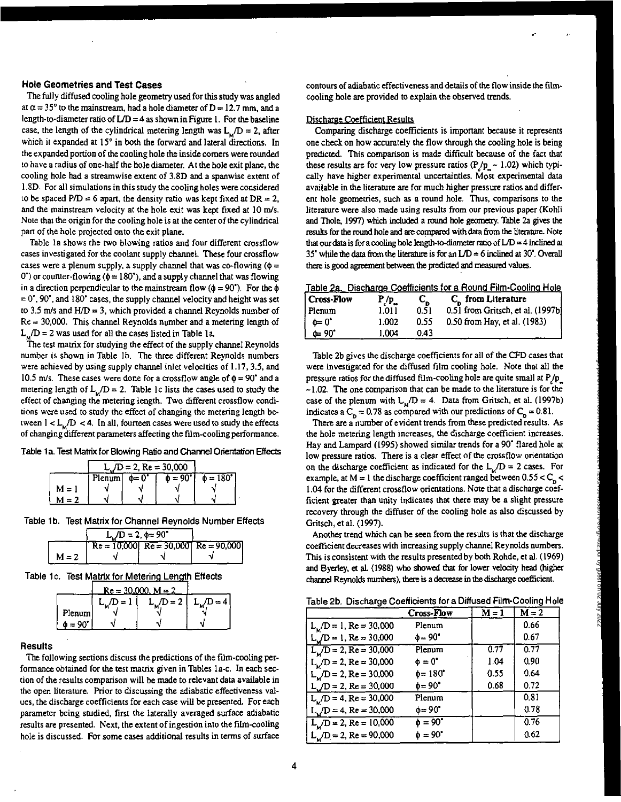### Hole Geometries and Test Cases

The fully diffused cooling hole geometry used for this study was angled at  $\alpha = 35^{\circ}$  to the mainstream, had a hole diameter of D = 12.7 mm, and a length-to-diameter ratio of  $LD = 4$  as shown in Figure 1. For the baseline case, the length of the cylindrical metering length was  $L_n/D = 2$ , after which it expanded at 15° in both the forward and lateral directions. In the expanded portion of the cooling hole the inside corners were rounded to have a radius of one-half the hole diameter. At the hole exit plane, the cooling hole had a streamwise extent of 3.8D and a spanwise extent of 1.8D. For all simulations in this study the cooling holes were considered to be spaced P/D = 6 apart, the density ratio was kept fixed at DR = 2, and the mainstream velocity at the hole exit was kept fixed at 10 m/s. Note that the origin for the cooling hole is at the center of the cylindrical part of the hole projected onto the exit plane.

Table la shows the two blowing ratios and four different crossflow cases investigated for the coolant supply channel. These four crossflow cases were a plenum supply, a supply channel that was co-flowing ( $\phi =$ 0') or counter-flowing ( $\phi = 180$ °), and a supply channel that was flowing in a direction perpendicular to the mainstream flow ( $\phi = 90$ ). For the  $\phi$  $= 0^{\circ}$ , 90°, and 180° cases, the supply channel velocity and height was set to 3.5 m/s and  $H/D = 3$ , which provided a channel Reynolds number of  $Re = 30,000$ . This channel Reynolds number and a metering length of  $L_y/D = 2$  was used for all the cases listed in Table 1a.

The test matrix for studying the effect of the supply channel Reynolds number is shown in Table lb. The three different Reynolds numbers were achieved by using supply channel inlet velocities of 1.17, 3.5, and 10.5 m/s. These cases were done for a crossflow angle of  $\phi = 90^{\circ}$  and a metering length of  $L_n/D = 2$ . Table 1c lists the cases used to study the effect of changing the metering length. Two different crossflow conditions were used to study the effect of changing the metering length between  $1 < L_{\nu}/D < 4$ . In all, fourteen cases were used to study the effects of changing different parameters affecting the rum-cooling performance.

Table 1a. Test Matrix for Blowing Ratio and Channel Orientation Effects

|         | $\sqrt{D}$ = 2, Re = 30,000 |         |                     |                      |
|---------|-----------------------------|---------|---------------------|----------------------|
|         | Plenum                      | $0 = 0$ | $\phi = 90^{\circ}$ | $\phi = 180^{\circ}$ |
| $M = 1$ |                             |         |                     |                      |
| $M = 2$ |                             |         |                     |                      |

Table 1b. Test Matrix for Channel Reynolds Number Effects

|         | $L/D = 2, \phi = 90^{\circ}$ |  |                                           |
|---------|------------------------------|--|-------------------------------------------|
|         |                              |  | $Re = 10,000$ $Re = 30,000$ $Re = 90,000$ |
| $M = 2$ |                              |  |                                           |

Table 1c. Test Matrix for Metering Length Effects

|                     | $Re = 30.000, M = 2$ |                |           |
|---------------------|----------------------|----------------|-----------|
|                     | L ∕D = I             | $L_{M}$ /D = 2 | $L/D = 4$ |
| Plenum              |                      |                |           |
| $\phi = 90^{\circ}$ |                      |                |           |

#### Results

The following sections discuss the predictions of the film-cooling performance obtained for the test matrix given in Tables la-c. In each section of the results comparison will be made to relevant data available in the open literature. Prior to discussing the adiabatic effectiveness values, the discharge coefficients for each case will be presented. For each parameter being studied, first the laterally averaged surface adiabatic results are presented. Next, the extent of ingestion into the film-cooling hole is discussed. For some cases additional results in terms of surface contours of adiabatic effectiveness and details of the flow inside the filmcooling hole are provided to explain the observed trends.

#### Discharge Coefficient Results

Comparing discharge coefficients is important because it represents one check on how accurately the flow through the cooling hole is being predicted. This comparison is made difficult because of the fact that these results are for very low pressure ratios ( $P/p$  ~ 1.02) which typically have higher experimental uncertainties. Most experimental data available in the literature are for much higher pressure ratios and different hole geometries, such as a round hole. Thus, comparisons to the literature were also made using results from our previous paper (Kohli and Thole, 1997) which included a round hole geometry. Table 2a gives the results for the round hole and are compared with data from the literature. Note that our data is for a cooling hole length-to-diameter ratio of  $LD = 4$  inclined at 35' while the data from the literature is for an  $LD = 6$  inclined at 30'. Overall there is good agreement between the predicted and measured values,

|  | <u>Table 2a. Discharge Coefficients for a Round Film-Cooling Hole</u> |  |  |
|--|-----------------------------------------------------------------------|--|--|
|  |                                                                       |  |  |

| Cross-Flow | P/p   |      | $C_n$ from Literature             |
|------------|-------|------|-----------------------------------|
| l Plenum   | 1.011 | 0.51 | 0.51 from Gritsch, et al. (1997b) |
| o=0°       | 1.002 | 0.55 | 0.50 from Hay, et al. (1983)      |
| ு 90°      | 1.004 | 0.43 |                                   |

Table 2b gives the discharge coefficients for all of the CFD cases tha were investigated for the diffused film cooling hole. Note that all the pressure ratios for the diffused film-cooling hole are quite small at  $P/p$ . —1.02. The one comparison that can be made to the literature is for the case of the plenum with  $L<sub>M</sub>/D = 4$ . Data from Gritsch, et al. (1997b) indicates a  $C_p = 0.78$  as compared with our predictions of  $C_p = 0.81$ .

Downloaded from http://asmedigitalcollection.asme.org/GT/proceedings-pdf/GT1998/78651/V004T09A070/2411235/v004t09a070-98-gt-402.pdf by guest on 02 July 2022

There are a number of evident trends from these predicted results. As the hole metering length increases, the discharge coefficient increases. Hay and Lampard (1995) showed similar trends for a 90' flared hole at low pressure ratios. There is a clear effect of the crossflow orientation on the discharge coefficient as indicated for the  $L_{\mu}/D = 2$  cases. For example, at  $M = 1$  the discharge coefficient ranged between  $0.55 < C<sub>n</sub>$ 1.04 for the different crossflow orientations. Note that a discharge coefficient greater than unity indicates that there may be a slight pressure recovery through the diffuser of the cooling hole as also discussed by Gritsch, et al. (1997).

Another trend which can be seen from the results is that the discharge coefficient decreases with increasing supply channel Reynolds numbers. This is consistent with the results presented by both Rohde, et al. (1969) and Byerley, et al. (1988) who showed that for lower velocity head (higher channel Reynolds numbers), there is a decrease in the discharge coefficient

|                             | Cross-Flow           | $M = 1$ | $M = 2$ |
|-----------------------------|----------------------|---------|---------|
| $Lu/D = 1$ , Re = 30,000    | Plenum               |         | 0.66    |
| $L_y/D = 1$ , Re = 30,000   | $\phi = 90^{\circ}$  |         | 0.67    |
| $Lv/D = 2$ , Re = 30,000    | Plenum               | 0.77    | 0.77    |
| $Lv/D = 2$ , Re = 30,000    | $\Phi = 0^{\circ}$   | 1.04    | 0.90    |
| $L_v/D = 2$ , Re = 30,000   | $\phi = 180^{\circ}$ | 0.55    | 0.64    |
| $L_y/D = 2$ , Re = 30,000   | $\phi = 90$          | 0.68    | 0.72    |
| $L_y/D = 4$ , $Re = 30,000$ | Plenum               |         | 0.81    |
| $L_y/D = 4$ , Re = 30,000   | $\phi = 90^{\circ}$  |         | 0.78    |
| $Lv/D = 2$ , Re = 10,000    | $\phi = 90^{\circ}$  |         | 0.76    |
| $Lu/D = 2$ , Re = 90,000    | $\phi = 90^{\circ}$  |         | 0.62    |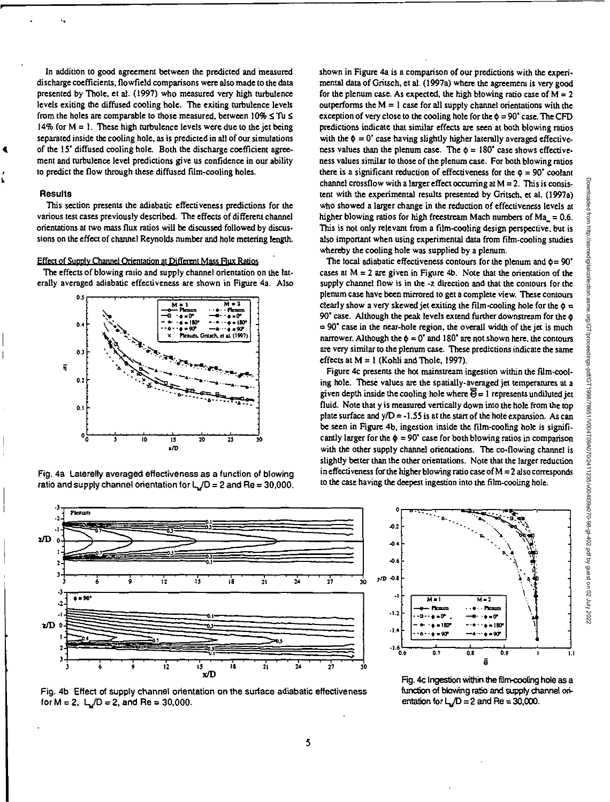In addition to good agreement between the predicted and measured discharge coefficients, flowfield comparisons were also made to the data presented by Thole, et al. (1997) who measured very high turbulence levels exiting the diffused cooling hole. The exiting turbulence levels from the holes are comparable to those measured, between  $10\% \leq Tu \leq$ 14% for  $M = 1$ . These high turbulence levels were due to the jet being separated inside the cooling hole, as is predicted in all of our simulations **4** of the 15' diffused cooling hole. Both the discharge coefficient agreement and turbulence level predictions give us confidence in our ability to predict the flow through these diffused film-cooling holes.

#### **Results**

This section presents the adiabatic effectiveness predictions for the various test cases previously described. The effects of different channel orientations at two mass flux ratios will be discussed followed by discussions on the effect of channel Reynolds number and hole metering length.

#### Effect of Supply Channel Orientation at Different Mass Flux Ratios

The effects of blowing ratio and supply channel orientation on the laterally averaged adiabatic effectiveness are shown in Figure 4a. Also



Fig. 48 Laterally averaged effectiveness as a function of blowing ratio and supply channel orientation for  $L_n/D = 2$  and Re = 30,000.

 $\begin{picture}(100,10)(-20,0) \put(0,0){\line(1,0){100}} \put(10,0){\line(1,0){100}} \put(10,0){\line(1,0){100}} \put(10,0){\line(1,0){100}} \put(10,0){\line(1,0){100}} \put(10,0){\line(1,0){100}} \put(10,0){\line(1,0){100}} \put(10,0){\line(1,0){100}} \put(10,0){\line(1,0){100}} \put(10,0){\line(1,0){100}} \put(10,0){\line(1,$ 3 Plenum 1 z/D 0  $\begin{picture}(42,17) \put(0,0){\line(1,0){10}} \put(15,0){\line(1,0){10}} \put(15,0){\line(1,0){10}} \put(15,0){\line(1,0){10}} \put(15,0){\line(1,0){10}} \put(15,0){\line(1,0){10}} \put(15,0){\line(1,0){10}} \put(15,0){\line(1,0){10}} \put(15,0){\line(1,0){10}} \put(15,0){\line(1,0){10}} \put(15,0){\line(1,0){10}} \put(15,0){\line(1$  $\cdot$ 03.<br>0.1 2 **-**  3 À 12 15 IS 21 24 27 30 3 • 90' ć **z/D o**   $\frac{1}{21}$ 2 3  $12 \t 15 \t 18 \t 21 \t 24 \t 27 \t 30$ 18 21 24 27 KID



shown in Figure 4a is a comparison of our predictions with the experimental data of Gritsch, et al. (1997a) where the agreement is very good for the plenum case. As expected, the high blowing ratio case of  $M = 2$ outperforms the  $M = 1$  case for all supply channel orientations with the exception of very close to the cooling hole for the  $\phi = 90^{\circ}$  case. The CFD predictions indicate that similar effects are seen at both blowing ratios with the  $\phi = 0$ ' case having slightly higher laterally averaged effectiveness values than the plenum case. The  $\phi = 180^\circ$  case shows effectiveness values similar to those of the plenum case. For both blowing ratios there is a significant reduction of effectiveness for the  $\phi = 90^{\circ}$  coolant channel crossflow with a larger effect occurring at  $M = 2$ . This is consistent with the experimental results presented by Gritsch, et al. (1997a) who showed a larger change in the reduction of effectiveness levels at higher blowing ratios for high freestream Mach numbers of Ma = 0.6. This is not only relevant from a film-cooling design perspective, but is also important when using experimental data from film-cooling studies whereby the cooling hole was supplied by a plenum.

The local adiabatic effectiveness contours for the plenum and  $\phi = 90$ ' cases at  $M = 2$  are given in Figure 4b. Note that the orientation of the supply channel flow is in **the** -z direction and that the contours for the plenum case have been mirrored to get a complete view. These contours clearly show a very skewed jet exiting the film-cooling hole for the  $\phi =$ 90' case. Although the peak levels extend further downstream for the 0  $= 90^{\circ}$  case in the near-hole region, the overall width of the jet is much narrower. Although the  $\phi = 0^{\circ}$  and 180° are not shown here, the contours are very similar to the plenum case. These predictions indicate the same effects at  $M = 1$  (Kohli and Thole, 1997).

Figure 4c presents the hot mainstream ingestion within the film-cooling hole. These values are the spatially-averaged jet temperatures at a given depth inside the cooling hole where  $\overline{\Theta} = 1$  represents undiluted jet fluid. Note that y is measured vertically down into the hole from the top plate surface and  $y/D = -1.55$  is at the start of the hole expansion. As can be seen in Figure 4b, ingestion inside the film-cooling hole is significantly larger for the  $\phi = 90^{\circ}$  case for both blowing ratios in comparison with the other supply channel orientations. The co-flowing channel is slightly better than the other orientations. Note that the larger reduction in effectiveness for the higher blowing ratio case of  $M = 2$  also corresponds to the case having the deepest ingestion into the film-cooling hole.

> **0**  -0.2  $\bullet$ -0.6 y/0 -0.8

> > -1

-1.:

43

 $\overline{M}$ a T

٠a٠  $4 - 0^{\circ}$  $-10$ 

- Pirms

 $• - 90$ 

 $\frac{1.6}{0.6}$ 



Downloaded from http://asmedigitalcollection.asme.org/GT/proceedings-pdf/GT1998/78651/V004T09A070/2411235/v004t09a070-98-gt-402.pdf by guest on 02 July 202200whoaded from http://asmedigitalcollection.asme.org/GT/proceedings-pdf/GT1998/70984070/2411235/v0409a070-98-gt-402-pdf by guest on 02 July 2022

Fig. 4c Ingestion within the film-cooling hole as a function of blowing ratio and supply channel orientation for  $L<sub>a</sub>/D = 2$  and Re = 30,000.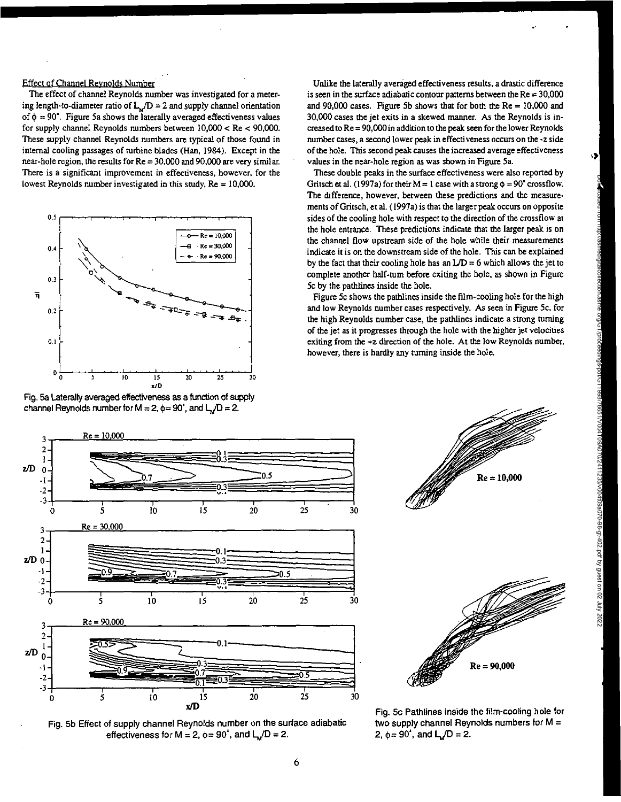# Effect of Channel Reynolds Number

The effect of channel Reynolds number was investigated for a metering length-to-diameter ratio of  $L<sub>M</sub>/D = 2$  and supply channel orientation of  $\phi = 90^{\circ}$ . Figure 5a shows the laterally averaged effectiveness values for supply channel Reynolds numbers between 10,000 < Re < 90,000. These supply channel Reynolds numbers are typical of those found in internal cooling passages of turbine blades (Han, 1984). Except in the near-hole region, the results for Re = 30,000 and 90,000 are very similar. There is a significant improvement in effectiveness, however, for the lowest Reynolds number investigated in this study,  $Re = 10,000$ .



Fig. 5a Laterally averaged effectiveness as a function of supply channel Reynolds number for  $M = 2$ ,  $\phi = 90^\circ$ , and L<sub>N</sub>/D = 2.

Unlike the laterally averaged *effectiveness* results, a drastic difference is seen in the surface adiabatic contour patterns between the  $Re = 30,000$ and 90,000 cases. Figure 5b shows that for both the Re = 10,000 and 30,000 cases the jet exits in a skewed manner. As the Reynolds is increased to Re= 90,000 in addition to the peak seen for the lower Reynolds number cases, a second lower peak in effectiveness occurs on the -z side of the hole. This second peak causes the increased average effectiveness values in the near-hole region as was shown in Figure 5a.

These double peaks in the surface effectiveness were also reported by Gritsch et al. (1997a) for their  $M = 1$  case with a strong  $\phi = 90^{\circ}$  crossflow. The difference, however, between these predictions and the measurements of Gritsch, et al. (1997a) is that the larger peak occurs on opposite sides of the cooling hole with respect to the direction of the crossflow at the hole entrance. These predictions indicate that the larger peak is on the channel flow upstream side of the hole while their measurements indicate it is on the downstream side of the hole. This can be explained by the fact that their cooling hole has an  $LD = 6$  which allows the jet to complete another half-turn before exiting the hole, as shown in Figure 5c by the pathlines inside the hole.

Figure 5c shows the pathlines inside the film-cooling hole for the high and low Reynolds number cases respectively. As seen in Figure Sc, for the high Reynolds number case, the pathlines indicate a strong turning of the jet as it progresses through the hole with the higher jet velocities exiting from the +z direction of the hole. At the low Reynolds number, however, there is hardly any turning inside the hole.







Downloaded from http://asmedigital.com/GT1998/1998/112361/24112368/24112389/2012/0009/20201239/20201237/2022/0

VV004T09A070/2411235/v004t09a070-98-gt-402.pdf by guest on 02 July 2022

ای ا



Fig. 5c Pathlines inside the film-cooling hole for two supply channel Reynolds numbers for  $M =$ 2,  $\phi = 90'$ , and  $L/D = 2$ .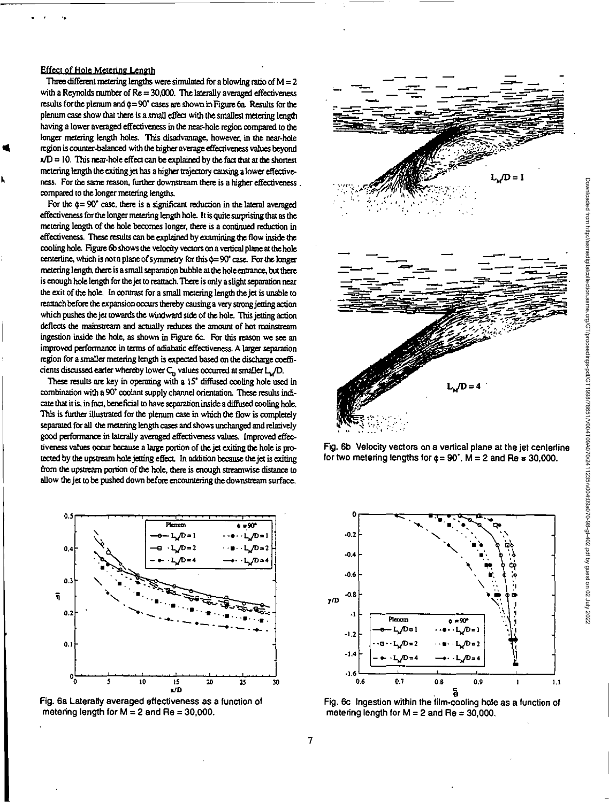# Effect of Hole Metering Length

Three different metering lengths were simulated for a blowing ratio of  $M = 2$ with a Reynolds number of  $Re = 30,000$ . The laterally averaged effectiveness results for the pierrum and  $\phi = 90^\circ$  cases are shown in Figure 6a. Results for the plenum case show that there is a small effect with the smallest metering length having a lower averaged effectiveness in the near-hole region compared to the longer metering length holes. This disadvantage, however, in the near-hole **4** region is counter-balanced with the higher average effectiveness values beyond  $x/D = 10$ . This near-hole effect can be explained by the fact that at the shortest metering length the exiting jet has a higher trajectory causing a lower effectiveness. For the same reason, further downstream there is a higher effectiveness. compared to the longer metering lengths,

For the  $\phi = 90^{\circ}$  case, there is a significant reduction in the lateral averaged effectiveness for the longer metering length hole. It is quite surprising that as the metering length of the hole becomes longer, there is a continued reduction in effectiveness. These results can be explained by examining the flow inside the cooling hole. Figure 6b shows the velocity vectors on a vertical plane at the hole centerline, which is not a plane of symmetry for this  $\phi = 90^{\circ}$  case. For the longer metering length, there is a small separation bubble at the hole entrance, but there is enough hole length for the jet to reattach. There is only a slight separation near the exit of the hole. In contrast for a small metering length the jet is unable to reattach before the expansion occurs thereby causing a very strong jetting action which pushes the jet towards the windward side of the hole. This jetting action deflects the mainstream and actually reduces the amount of hot mainstream ingestion inside the hole, as shown in Figure 6c. For this reason we see an improved performance in tams of adiabatic effectiveness. A larger separation region for a smaller metering length is expected based on the discharge coefficients discussed earler whereby lower  $C_n$  values occurred at smaller  $L_n/D$ .

These results are *key* in operating with a 15' diffused cooling hole used in combination with a 90' coolant supply channel orientation. These results indicate that it is, in fact, beneficial to have separation inside a diffused cooling hole. This is further illustrated for the plenum case in which the flow is completely separated for all the metering length cases and shows unchanged and relatively good performance in laterally averaged effectiveness values. Improved effectiveness values occur because a large portion of the jet exiting the hole is protected by the upstream hole jetting effect, In addition because the jet is exiting from the upstream portion of the hole, there is enough streamwise distance to allow the jet to be pushed down before encountering the downstream surface.



Fig. 6a Laterally averaged effectiveness as a function of metering length for  $M = 2$  and Re = 30,000.



Fig. 6b Velocity vectors on a vertical plane at the jet centerline for two metering lengths for  $\phi = 90^\circ$ , M = 2 and Re = 30,000.

Downloaded from http://asmedigitalcollection.asme.org/GT/proceedings-pdf/071988/7869/00410984112356/004099402.pdf by guest on 02 July 2022 Downloaded from http://asmedigitalcollection.asme.org/GT/proceedings-pdf/GT1998/78651/V004T09A070/2411235/v004t09a070-98-gt-402.pdf by guest on 02 July 2022



Fig. 6c Ingestion within the film-cooling hole as a function of metering length for  $M = 2$  and  $Re = 30,000$ .